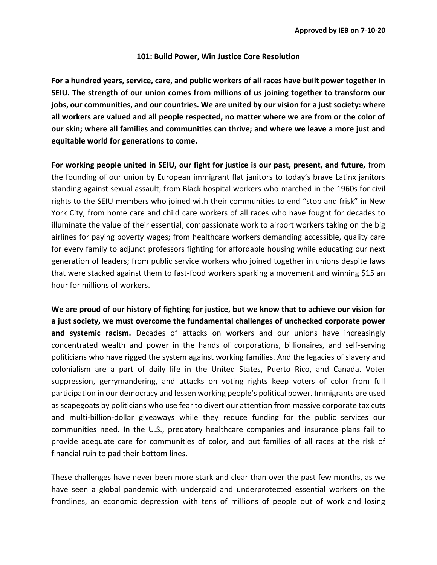## **101: Build Power, Win Justice Core Resolution**

**For a hundred years, service, care, and public workers of all races have built power together in SEIU. The strength of our union comes from millions of us joining together to transform our jobs, our communities, and our countries. We are united by our vision for a just society: where all workers are valued and all people respected, no matter where we are from or the color of our skin; where all families and communities can thrive; and where we leave a more just and equitable world for generations to come.** 

**For working people united in SEIU, our fight for justice is our past, present, and future,** from the founding of our union by European immigrant flat janitors to today's brave Latinx janitors standing against sexual assault; from Black hospital workers who marched in the 1960s for civil rights to the SEIU members who joined with their communities to end "stop and frisk" in New York City; from home care and child care workers of all races who have fought for decades to illuminate the value of their essential, compassionate work to airport workers taking on the big airlines for paying poverty wages; from healthcare workers demanding accessible, quality care for every family to adjunct professors fighting for affordable housing while educating our next generation of leaders; from public service workers who joined together in unions despite laws that were stacked against them to fast-food workers sparking a movement and winning \$15 an hour for millions of workers.

**We are proud of our history of fighting for justice, but we know that to achieve our vision for a just society, we must overcome the fundamental challenges of unchecked corporate power and systemic racism.** Decades of attacks on workers and our unions have increasingly concentrated wealth and power in the hands of corporations, billionaires, and self-serving politicians who have rigged the system against working families. And the legacies of slavery and colonialism are a part of daily life in the United States, Puerto Rico, and Canada. Voter suppression, gerrymandering, and attacks on voting rights keep voters of color from full participation in our democracy and lessen working people's political power. Immigrants are used as scapegoats by politicians who use fear to divert our attention from massive corporate tax cuts and multi-billion-dollar giveaways while they reduce funding for the public services our communities need. In the U.S., predatory healthcare companies and insurance plans fail to provide adequate care for communities of color, and put families of all races at the risk of financial ruin to pad their bottom lines.

These challenges have never been more stark and clear than over the past few months, as we have seen a global pandemic with underpaid and underprotected essential workers on the frontlines, an economic depression with tens of millions of people out of work and losing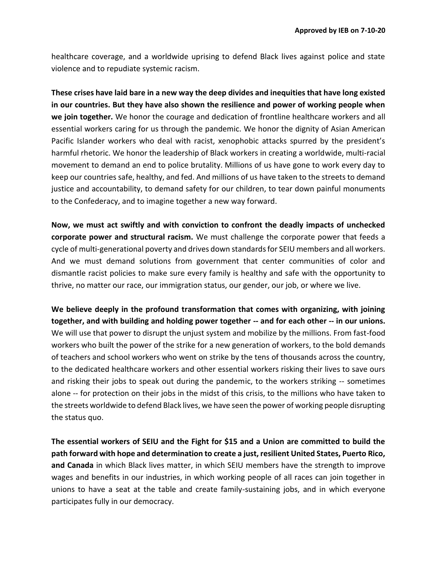healthcare coverage, and a worldwide uprising to defend Black lives against police and state violence and to repudiate systemic racism.

**These crises have laid bare in a new way the deep divides and inequities that have long existed in our countries. But they have also shown the resilience and power of working people when we join together.** We honor the courage and dedication of frontline healthcare workers and all essential workers caring for us through the pandemic. We honor the dignity of Asian American Pacific Islander workers who deal with racist, xenophobic attacks spurred by the president's harmful rhetoric. We honor the leadership of Black workers in creating a worldwide, multi-racial movement to demand an end to police brutality. Millions of us have gone to work every day to keep our countries safe, healthy, and fed. And millions of us have taken to the streets to demand justice and accountability, to demand safety for our children, to tear down painful monuments to the Confederacy, and to imagine together a new way forward.

**Now, we must act swiftly and with conviction to confront the deadly impacts of unchecked corporate power and structural racism.** We must challenge the corporate power that feeds a cycle of multi-generational poverty and drives down standards for SEIU members and all workers. And we must demand solutions from government that center communities of color and dismantle racist policies to make sure every family is healthy and safe with the opportunity to thrive, no matter our race, our immigration status, our gender, our job, or where we live.

We believe deeply in the profound transformation that comes with organizing, with joining **together, and with building and holding power together -- and for each other -- in our unions.** We will use that power to disrupt the unjust system and mobilize by the millions. From fast-food workers who built the power of the strike for a new generation of workers, to the bold demands of teachers and school workers who went on strike by the tens of thousands across the country, to the dedicated healthcare workers and other essential workers risking their lives to save ours and risking their jobs to speak out during the pandemic, to the workers striking -- sometimes alone -- for protection on their jobs in the midst of this crisis, to the millions who have taken to the streets worldwide to defend Black lives, we have seen the power of working people disrupting the status quo.

**The essential workers of SEIU and the Fight for \$15 and a Union are committed to build the path forward with hope and determination to create a just, resilient United States, Puerto Rico, and Canada** in which Black lives matter, in which SEIU members have the strength to improve wages and benefits in our industries, in which working people of all races can join together in unions to have a seat at the table and create family-sustaining jobs, and in which everyone participates fully in our democracy.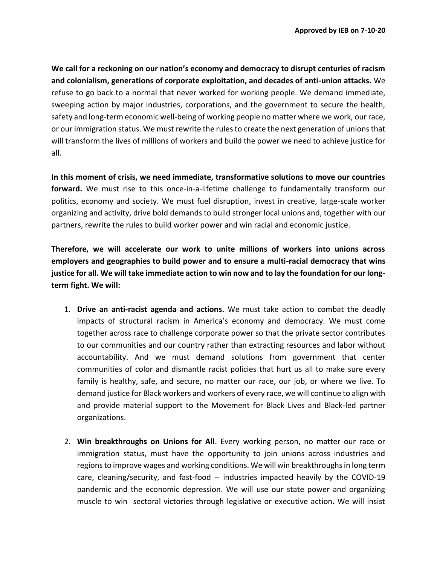**We call for a reckoning on our nation's economy and democracy to disrupt centuries of racism and colonialism, generations of corporate exploitation, and decades of anti-union attacks.** We refuse to go back to a normal that never worked for working people. We demand immediate, sweeping action by major industries, corporations, and the government to secure the health, safety and long-term economic well-being of working people no matter where we work, our race, or our immigration status. We must rewrite the rules to create the next generation of unions that will transform the lives of millions of workers and build the power we need to achieve justice for all.

**In this moment of crisis, we need immediate, transformative solutions to move our countries forward.** We must rise to this once-in-a-lifetime challenge to fundamentally transform our politics, economy and society. We must fuel disruption, invest in creative, large-scale worker organizing and activity, drive bold demands to build stronger local unions and, together with our partners, rewrite the rules to build worker power and win racial and economic justice.

**Therefore, we will accelerate our work to unite millions of workers into unions across employers and geographies to build power and to ensure a multi-racial democracy that wins justice for all. We will take immediate action to win now and to lay the foundation for our longterm fight. We will:**

- 1. **Drive an anti-racist agenda and actions.** We must take action to combat the deadly impacts of structural racism in America's economy and democracy. We must come together across race to challenge corporate power so that the private sector contributes to our communities and our country rather than extracting resources and labor without accountability. And we must demand solutions from government that center communities of color and dismantle racist policies that hurt us all to make sure every family is healthy, safe, and secure, no matter our race, our job, or where we live. To demand justice for Black workers and workers of every race, we will continue to align with and provide material support to the Movement for Black Lives and Black-led partner organizations.
- 2. **Win breakthroughs on Unions for All**. Every working person, no matter our race or immigration status, must have the opportunity to join unions across industries and regions to improve wages and working conditions. We will win breakthroughs in long term care, cleaning/security, and fast-food -- industries impacted heavily by the COVID-19 pandemic and the economic depression. We will use our state power and organizing muscle to win sectoral victories through legislative or executive action. We will insist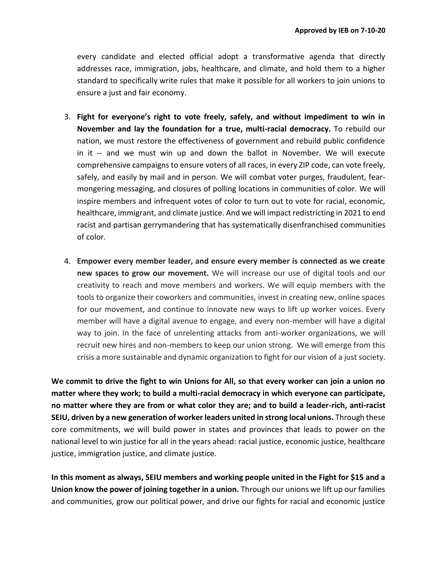every candidate and elected official adopt a transformative agenda that directly addresses race, immigration, jobs, healthcare, and climate, and hold them to a higher standard to specifically write rules that make it possible for all workers to join unions to ensure a just and fair economy.

- 3. **Fight for everyone's right to vote freely, safely, and without impediment to win in November and lay the foundation for a true, multi-racial democracy.** To rebuild our nation, we must restore the effectiveness of government and rebuild public confidence in it -- and we must win up and down the ballot in November. We will execute comprehensive campaigns to ensure voters of all races, in every ZIP code, can vote freely, safely, and easily by mail and in person. We will combat voter purges, fraudulent, fearmongering messaging, and closures of polling locations in communities of color. We will inspire members and infrequent votes of color to turn out to vote for racial, economic, healthcare, immigrant, and climate justice. And we will impact redistricting in 2021 to end racist and partisan gerrymandering that has systematically disenfranchised communities of color.
- 4. **Empower every member leader, and ensure every member is connected as we create new spaces to grow our movement.** We will increase our use of digital tools and our creativity to reach and move members and workers. We will equip members with the tools to organize their coworkers and communities, invest in creating new, online spaces for our movement, and continue to innovate new ways to lift up worker voices. Every member will have a digital avenue to engage, and every non-member will have a digital way to join. In the face of unrelenting attacks from anti-worker organizations, we will recruit new hires and non-members to keep our union strong. We will emerge from this crisis a more sustainable and dynamic organization to fight for our vision of a just society.

**We commit to drive the fight to win Unions for All, so that every worker can join a union no matter where they work; to build a multi-racial democracy in which everyone can participate, no matter where they are from or what color they are; and to build a leader-rich, anti-racist SEIU, driven by a new generation of worker leaders united in strong local unions.** Through these core commitments, we will build power in states and provinces that leads to power on the national level to win justice for all in the years ahead: racial justice, economic justice, healthcare justice, immigration justice, and climate justice.

**In this moment as always, SEIU members and working people united in the Fight for \$15 and a Union know the power of joining together in a union.** Through our unions we lift up our families and communities, grow our political power, and drive our fights for racial and economic justice